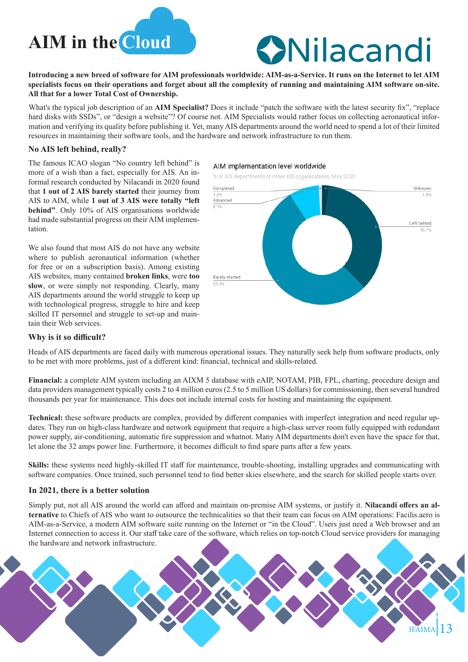

# **ONilacandi**

**Introducing a new breed of software for AIM professionals worldwide: AIM-as-a-Service. It runs on the Internet to let AIM specialists focus on their operations and forget about all the complexity of running and maintaining AIM software on-site. All that for a lower Total Cost of Ownership.**

What's the typical job description of an **AIM Specialist?** Does it include "patch the software with the latest security fix", "replace hard disks with SSDs", or "design a website"? Of course not. AIM Specialists would rather focus on collecting aeronautical information and verifying its quality before publishing it. Yet, many AIS departments around the world need to spend a lot of their limited resources in maintaining their software tools, and the hardware and network infrastructure to run them.

#### **No AIS left behind, really?**

The famous ICAO slogan "No country left behind" is more of a wish than a fact, especially for AIS. An informal research conducted by Nilacandi in 2020 found that **1 out of 2 AIS barely started** their journey from AIS to AIM, while **1 out of 3 AIS were totally "left behind"**. Only 10% of AIS organisations worldwide had made substantial progress on their AIM implementation.

We also found that most AIS do not have any website where to publish aeronautical information (whether for free or on a subscription basis). Among existing AIS websites, many contained **broken links**, were **too slow**, or were simply not responding. Clearly, many AIS departments around the world struggle to keep up with technological progress, struggle to hire and keep skilled IT personnel and struggle to set-up and maintain their Web services.

#### AIM implementation level worldwide

% of AIS departments or other AIS organisations, May 2020



#### **Why is it so difficult?**

Heads of AIS departments are faced daily with numerous operational issues. They naturally seek help from software products, only to be met with more problems, just of a different kind: financial, technical and skills-related.

**Financial:** a complete AIM system including an AIXM 5 database with eAIP, NOTAM, PIB, FPL, charting, procedure design and data providers management typically costs 2 to 4 million euros (2.5 to 5 million US dollars) for commissioning, then several hundred thousands per year for maintenance. This does not include internal costs for hosting and maintaining the equipment.

**Technical:** these software products are complex, provided by different companies with imperfect integration and need regular updates. They run on high-class hardware and network equipment that require a high-class server room fully equipped with redundant power supply, air-conditioning, automatic fire suppression and whatnot. Many AIM departments don't even have the space for that, let alone the 32 amps power line. Furthermore, it becomes difficult to find spare parts after a few years.

**Skills:** these systems need highly-skilled IT staff for maintenance, trouble-shooting, installing upgrades and communicating with software companies. Once trained, such personnel tend to find better skies elsewhere, and the search for skilled people starts over.

# **In 2021, there is a better solution**

Simply put, not all AIS around the world can afford and maintain on-premise AIM systems, or justify it. **Nilacandi offers an alternative** to Chiefs of AIS who want to outsource the technicalities so that their team can focus on AIM operations: Facilis.aero is AIM-as-a-Service, a modern AIM software suite running on the Internet or "in the Cloud". Users just need a Web browser and an Internet connection to access it. Our staff take care of the software, which relies on top-notch Cloud service providers for managing the hardware and network infrastructure.